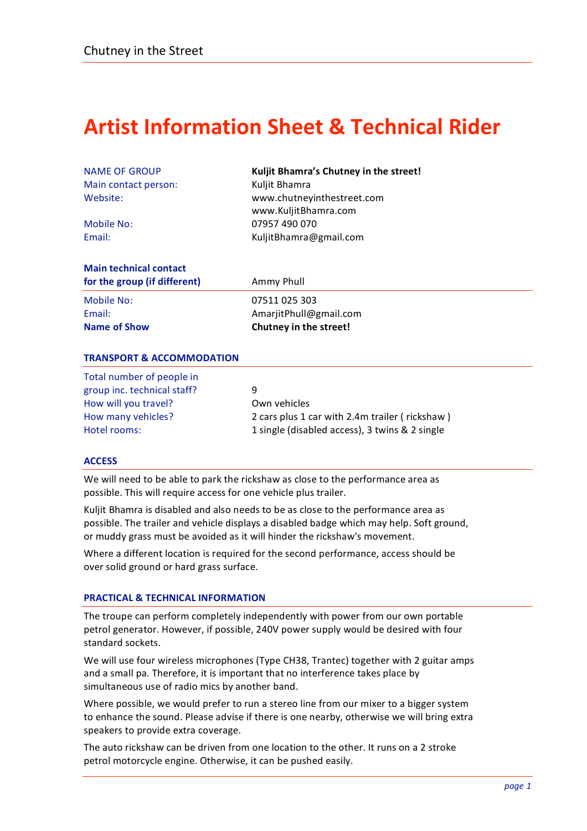# **Artist
Information
Sheet
&
Technical
Rider**

| <b>NAME OF GROUP</b>          | Kuljit Bhamra's Chutney in the street! |
|-------------------------------|----------------------------------------|
| Main contact person:          | Kuljit Bhamra                          |
| Website:                      | www.chutneyinthestreet.com             |
|                               | www.KuljitBhamra.com                   |
| Mobile No:                    | 07957 490 070                          |
| Email:                        | KuljitBhamra@gmail.com                 |
| <b>Main technical contact</b> |                                        |
| for the group (if different)  | Ammy Phull                             |
|                               |                                        |

| <b>Name of Show</b> | Chutney in the street! |
|---------------------|------------------------|
| Email:              | AmarjitPhull@gmail.com |
| Mobile No:          | 07511 025 303          |

# **TRANSPORT
&
ACCOMMODATION**

| Total number of people in   |   |
|-----------------------------|---|
| group inc. technical staff? | ٩ |
| How will you travel?        |   |
| How many vehicles?          | 2 |
| Hotel rooms:                |   |

Own vehicles 2 cars plus 1 car with 2.4m trailer (rickshaw) 1 single (disabled access), 3 twins & 2 single

# **ACCESS**

We will need to be able to park the rickshaw as close to the performance area as possible.
This
will
require
access
for
one
vehicle
plus
trailer.

Kuljit Bhamra is disabled and also needs to be as close to the performance area as possible. The trailer and vehicle displays a disabled badge which may help. Soft ground, or
muddy
grass
must
be
avoided
as
it
will
hinder
the
rickshaw's
movement.

Where a different location is required for the second performance, access should be over
solid
ground
or
hard
grass
surface.

# **PRACTICAL
&
TECHNICAL
INFORMATION**

The
troupe
can
perform
completely
independently
with
power
from
our
own
portable petrol
generator.
However,
if
possible,
240V
power
supply
would
be
desired
with
four standard
sockets.

We will use four wireless microphones (Type CH38, Trantec) together with 2 guitar amps and a small pa. Therefore, it is important that no interference takes place by simultaneous use of radio mics by another band.

Where possible, we would prefer to run a stereo line from our mixer to a bigger system to enhance the sound. Please advise if there is one nearby, otherwise we will bring extra speakers
to
provide
extra
coverage.

The auto rickshaw can be driven from one location to the other. It runs on a 2 stroke petrol
motorcycle
engine.
Otherwise,
it
can
be
pushed
easily.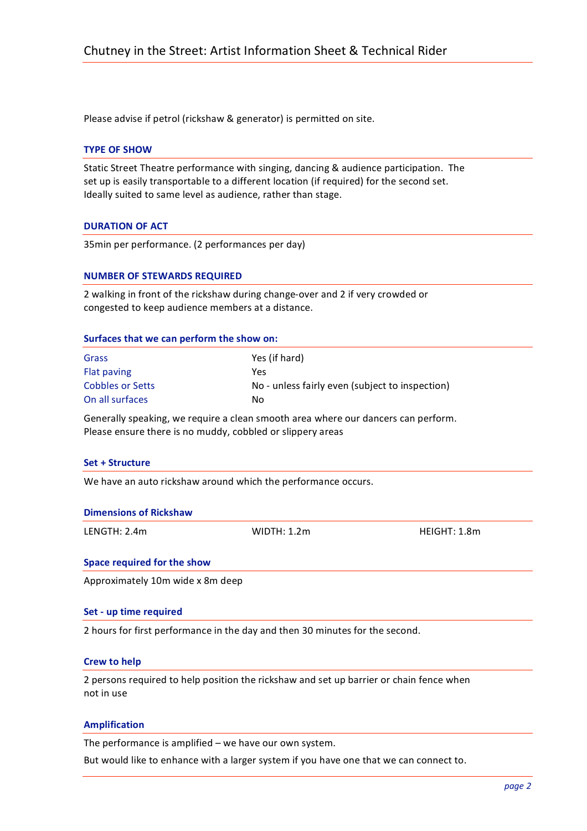Please advise if petrol (rickshaw & generator) is permitted on site.

# **TYPE
OF
SHOW**

Static
Street
Theatre
performance
with
singing,
dancing
&
audience
participation.

The set up is easily transportable to a different location (if required) for the second set. Ideally suited to same level as audience, rather than stage.

# **DURATION
OF
ACT**

35min
per
performance.
(2
performances
per
day)

### **NUMBER
OF
STEWARDS
REQUIRED**

2 walking in front of the rickshaw during change-over and 2 if very crowded or congested
to
keep
audience
members
at
a
distance.

#### **Surfaces
that
we
can
perform
the
show
on:**

| Grass            | Yes (if hard)                                   |
|------------------|-------------------------------------------------|
| Flat paving      | Yes                                             |
| Cobbles or Setts | No - unless fairly even (subject to inspection) |
| On all surfaces  | No                                              |

Generally speaking, we require a clean smooth area where our dancers can perform. Please ensure there is no muddy, cobbled or slippery areas

#### Set + Structure

We have an auto rickshaw around which the performance occurs.

|  |  | <b>Dimensions of Rickshaw</b> |  |
|--|--|-------------------------------|--|
|--|--|-------------------------------|--|

LENGTH:
2.4m WIDTH:
1.2m HEIGHT:
1.8m

#### **Space
required
for
the
show**

Approximately
10m
wide
x
8m
deep

#### **Set
‐
up
time
required**

2
hours
for
first
performance
in
the
day
and
then
30
minutes
for
the
second.

#### **Crew
to
help**

2 persons required to help position the rickshaw and set up barrier or chain fence when not
in
use

#### **Amplification**

The
performance
is
amplified
–
we
have
our
own
system.

But
would
like
to
enhance
with
a
larger
system
if
you
have
one
that
we
can
connect
to.